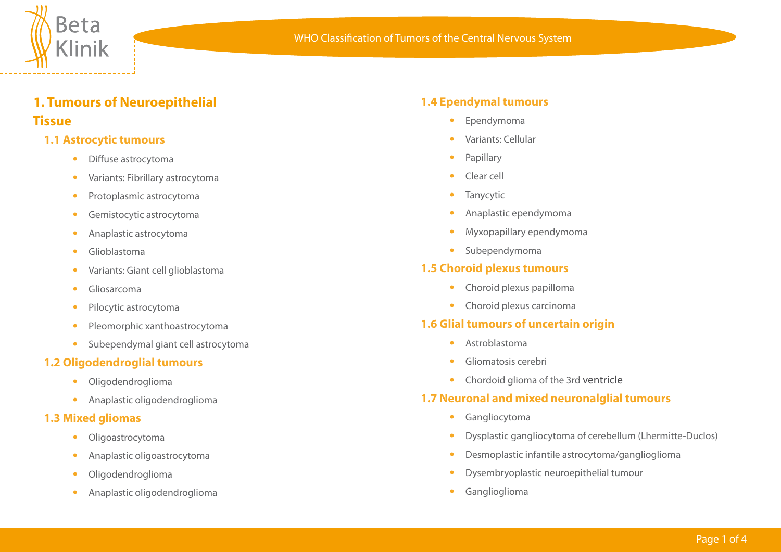

# **1. Tumours of Neuroepithelial Tissue**

## **1.1 Astrocytic tumours**

- **•**  Diffuse astrocytoma
- **•**  Variants: Fibrillary astrocytoma
- **•**  Protoplasmic astrocytoma
- **•**  Gemistocytic astrocytoma
- **•**  Anaplastic astrocytoma
- **•**  Glioblastoma
- **•**  Variants: Giant cell glioblastoma
- **•**  Gliosarcoma
- **•**  Pilocytic astrocytoma
- **•**  Pleomorphic xanthoastrocytoma
- **•**  Subependymal giant cell astrocytoma

#### **1.2 Oligodendroglial tumours**

- **•**  Oligodendroglioma
- **•**  Anaplastic oligodendroglioma

#### **1.3 Mixed gliomas**

- **•**  Oligoastrocytoma
- **•**  Anaplastic oligoastrocytoma
- **•**  Oligodendroglioma
- **•**  Anaplastic oligodendroglioma

## **1.4 Ependymal tumours**

- **•**  Ependymoma
- **•**  Variants: Cellular
- **Papillary**
- **•**  Clear cell
- **•**  Tanycytic
- **•**  Anaplastic ependymoma
- **•**  Myxopapillary ependymoma
- **•**  Subependymoma

## **1.5 Choroid plexus tumours**

- **•**  Choroid plexus papilloma
- **•**  Choroid plexus carcinoma

## **1.6 Glial tumours of uncertain origin**

- **•**  Astroblastoma
- **•**  Gliomatosis cerebri
- **•**  Chordoid glioma of the 3rd ventricle

## **1.7 Neuronal and mixed neuronalglial tumours**

- **•**  Gangliocytoma
- **•**  Dysplastic gangliocytoma of cerebellum (Lhermitte-Duclos)
- **•**  Desmoplastic infantile astrocytoma/ganglioglioma
- **•**  Dysembryoplastic neuroepithelial tumour
- **•**  Ganglioglioma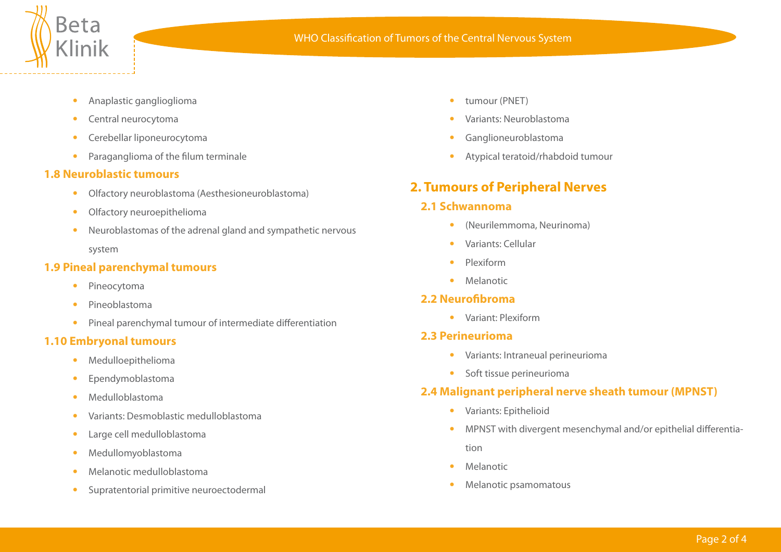

- **•**  Anaplastic ganglioglioma
- **•**  Central neurocytoma
- **•**  Cerebellar liponeurocytoma
- **•**  Paraganglioma of the filum terminale

#### **1.8 Neuroblastic tumours**

- **•**  Olfactory neuroblastoma (Aesthesioneuroblastoma)
- **•**  Olfactory neuroepithelioma
- **•**  Neuroblastomas of the adrenal gland and sympathetic nervous system

## **1.9 Pineal parenchymal tumours**

- **•**  Pineocytoma
- **•**  Pineoblastoma
- **•**  Pineal parenchymal tumour of intermediate differentiation

## **1.10 Embryonal tumours**

- **•**  Medulloepithelioma
- **•**  Ependymoblastoma
- **•**  Medulloblastoma
- **•**  Variants: Desmoblastic medulloblastoma
- **•**  Large cell medulloblastoma
- **•**  Medullomyoblastoma
- **•**  Melanotic medulloblastoma
- **•**  Supratentorial primitive neuroectodermal
- **•**  tumour (PNET)
- **•**  Variants: Neuroblastoma
- **•**  Ganglioneuroblastoma
- **•**  Atypical teratoid/rhabdoid tumour

# **2. Tumours of Peripheral Nerves**

## **2.1 Schwannoma**

- **•**  (Neurilemmoma, Neurinoma)
- **•**  Variants: Cellular
- **•**  Plexiform
- **•**  Melanotic

## **2.2 Neurofibroma**

**•**  Variant: Plexiform

## **2.3 Perineurioma**

- **•**  Variants: Intraneual perineurioma
- **•**  Soft tissue perineurioma

## **2.4 Malignant peripheral nerve sheath tumour (MPNST)**

- **•**  Variants: Epithelioid
- **•**  MPNST with divergent mesenchymal and/or epithelial differentia tion
- **•**  Melanotic
- **•**  Melanotic psamomatous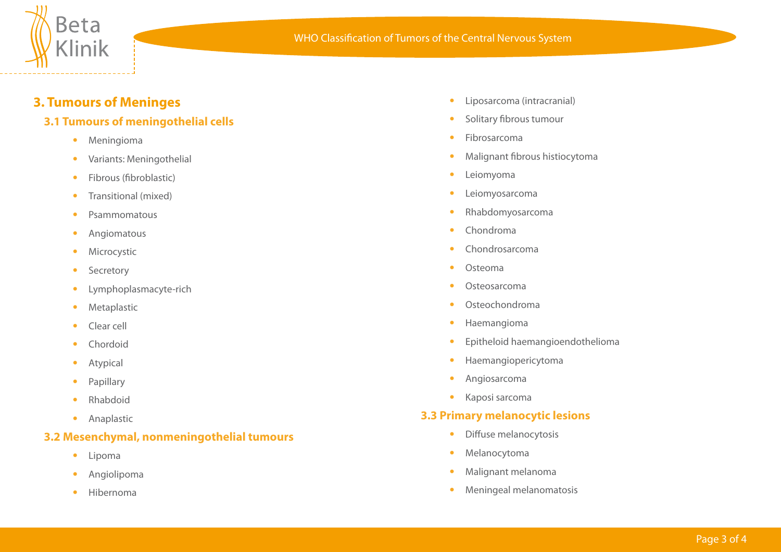

## **3. Tumours of Meninges**

## **3.1 Tumours of meningothelial cells**

- **•**  Meningioma
- **•**  Variants: Meningothelial
- **•**  Fibrous (fibroblastic)
- **•**  Transitional (mixed)
- **•**  Psammomatous
- **•**  Angiomatous
- **•**  Microcystic
- **•**  Secretory
- Lymphoplasmacyte-rich
- **•**  Metaplastic
- **•**  Clear cell
- **•**  Chordoid
- **•**  Atypical
- **•**  Papillary
- **•**  Rhabdoid
- **•**  Anaplastic

## **3.2 Mesenchymal, nonmeningothelial tumours**

- **•**  Lipoma
- **•**  Angiolipoma
- **•**  Hibernoma
- **•**  Liposarcoma (intracranial)
- **•**  Solitary fibrous tumour
- **•**  Fibrosarcoma
- **•**  Malignant fibrous histiocytoma
- **•**  Leiomyoma
- **•**  Leiomyosarcoma
- **•**  Rhabdomyosarcoma
- **•**  Chondroma
- **•**  Chondrosarcoma
- **•**  Osteoma
- **•**  Osteosarcoma
- **•**  Osteochondroma
- **•**  Haemangioma
- **•**  Epitheloid haemangioendothelioma
- **•**  Haemangiopericytoma
- **•**  Angiosarcoma
- **•**  Kaposi sarcoma

## **3.3 Primary melanocytic lesions**

- **•**  Diffuse melanocytosis
- **•**  Melanocytoma
- **•**  Malignant melanoma
- **•**  Meningeal melanomatosis